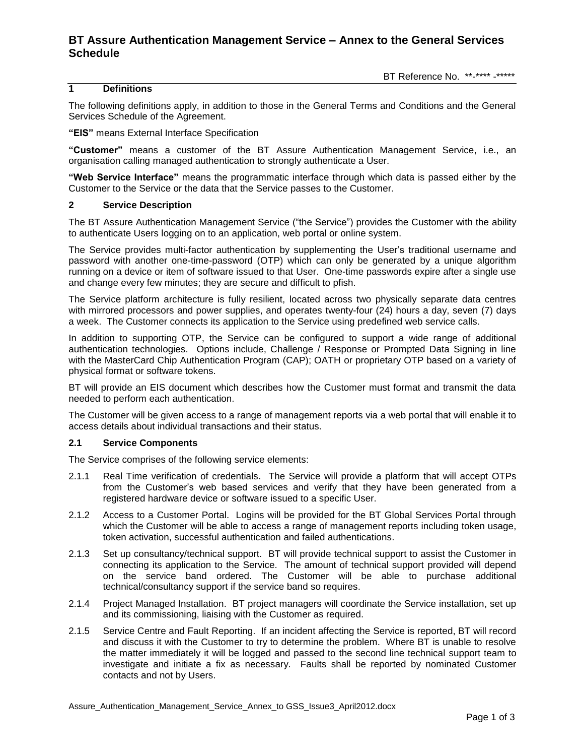# **BT Assure Authentication Management Service – Annex to the General Services Schedule**

### **1 Definitions**

The following definitions apply, in addition to those in the General Terms and Conditions and the General Services Schedule of the Agreement.

**"EIS"** means External Interface Specification

**"Customer"** means a customer of the BT Assure Authentication Management Service, i.e., an organisation calling managed authentication to strongly authenticate a User.

**"Web Service Interface"** means the programmatic interface through which data is passed either by the Customer to the Service or the data that the Service passes to the Customer.

#### **2 Service Description**

The BT Assure Authentication Management Service ("the Service") provides the Customer with the ability to authenticate Users logging on to an application, web portal or online system.

The Service provides multi-factor authentication by supplementing the User's traditional username and password with another one-time-password (OTP) which can only be generated by a unique algorithm running on a device or item of software issued to that User. One-time passwords expire after a single use and change every few minutes; they are secure and difficult to pfish.

The Service platform architecture is fully resilient, located across two physically separate data centres with mirrored processors and power supplies, and operates twenty-four (24) hours a day, seven (7) days a week. The Customer connects its application to the Service using predefined web service calls.

In addition to supporting OTP, the Service can be configured to support a wide range of additional authentication technologies. Options include, Challenge / Response or Prompted Data Signing in line with the MasterCard Chip Authentication Program (CAP); OATH or proprietary OTP based on a variety of physical format or software tokens.

BT will provide an EIS document which describes how the Customer must format and transmit the data needed to perform each authentication.

The Customer will be given access to a range of management reports via a web portal that will enable it to access details about individual transactions and their status.

#### **2.1 Service Components**

The Service comprises of the following service elements:

- 2.1.1 Real Time verification of credentials. The Service will provide a platform that will accept OTPs from the Customer's web based services and verify that they have been generated from a registered hardware device or software issued to a specific User.
- 2.1.2 Access to a Customer Portal. Logins will be provided for the BT Global Services Portal through which the Customer will be able to access a range of management reports including token usage, token activation, successful authentication and failed authentications.
- 2.1.3 Set up consultancy/technical support. BT will provide technical support to assist the Customer in connecting its application to the Service. The amount of technical support provided will depend on the service band ordered. The Customer will be able to purchase additional technical/consultancy support if the service band so requires.
- 2.1.4 Project Managed Installation. BT project managers will coordinate the Service installation, set up and its commissioning, liaising with the Customer as required.
- 2.1.5 Service Centre and Fault Reporting. If an incident affecting the Service is reported, BT will record and discuss it with the Customer to try to determine the problem. Where BT is unable to resolve the matter immediately it will be logged and passed to the second line technical support team to investigate and initiate a fix as necessary. Faults shall be reported by nominated Customer contacts and not by Users.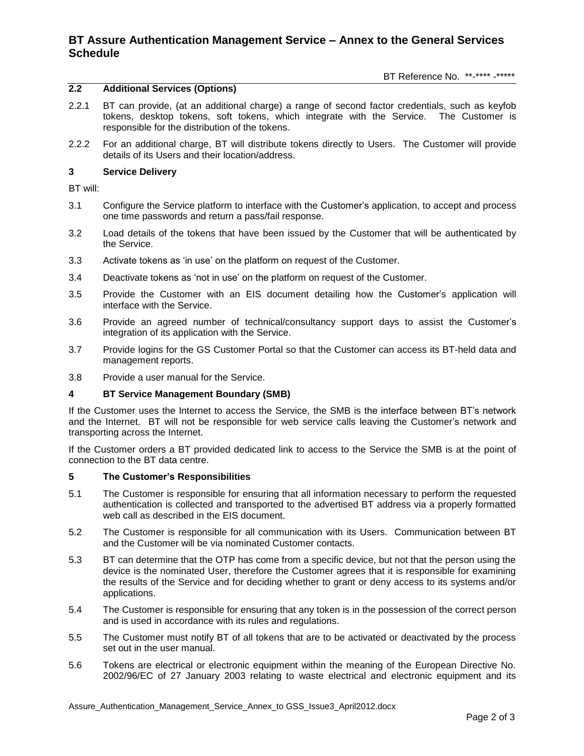# **BT Assure Authentication Management Service – Annex to the General Services Schedule**

BT Reference No. \*\*-\*\*\*\* -\*\*\*\*\*

## **2.2 Additional Services (Options)**

- 2.2.1 BT can provide, (at an additional charge) a range of second factor credentials, such as keyfob tokens, desktop tokens, soft tokens, which integrate with the Service. The Customer is responsible for the distribution of the tokens.
- 2.2.2 For an additional charge, BT will distribute tokens directly to Users. The Customer will provide details of its Users and their location/address.

### **3 Service Delivery**

BT will:

- 3.1 Configure the Service platform to interface with the Customer's application, to accept and process one time passwords and return a pass/fail response.
- 3.2 Load details of the tokens that have been issued by the Customer that will be authenticated by the Service.
- 3.3 Activate tokens as 'in use' on the platform on request of the Customer.
- 3.4 Deactivate tokens as 'not in use' on the platform on request of the Customer.
- 3.5 Provide the Customer with an EIS document detailing how the Customer's application will interface with the Service.
- 3.6 Provide an agreed number of technical/consultancy support days to assist the Customer's integration of its application with the Service.
- 3.7 Provide logins for the GS Customer Portal so that the Customer can access its BT-held data and management reports.
- 3.8 Provide a user manual for the Service.

#### **4 BT Service Management Boundary (SMB)**

If the Customer uses the Internet to access the Service, the SMB is the interface between BT's network and the Internet. BT will not be responsible for web service calls leaving the Customer's network and transporting across the Internet.

If the Customer orders a BT provided dedicated link to access to the Service the SMB is at the point of connection to the BT data centre.

### **5 The Customer's Responsibilities**

- 5.1 The Customer is responsible for ensuring that all information necessary to perform the requested authentication is collected and transported to the advertised BT address via a properly formatted web call as described in the EIS document.
- 5.2 The Customer is responsible for all communication with its Users. Communication between BT and the Customer will be via nominated Customer contacts.
- 5.3 BT can determine that the OTP has come from a specific device, but not that the person using the device is the nominated User, therefore the Customer agrees that it is responsible for examining the results of the Service and for deciding whether to grant or deny access to its systems and/or applications.
- 5.4 The Customer is responsible for ensuring that any token is in the possession of the correct person and is used in accordance with its rules and regulations.
- 5.5 The Customer must notify BT of all tokens that are to be activated or deactivated by the process set out in the user manual.
- 5.6 Tokens are electrical or electronic equipment within the meaning of the European Directive No. 2002/96/EC of 27 January 2003 relating to waste electrical and electronic equipment and its